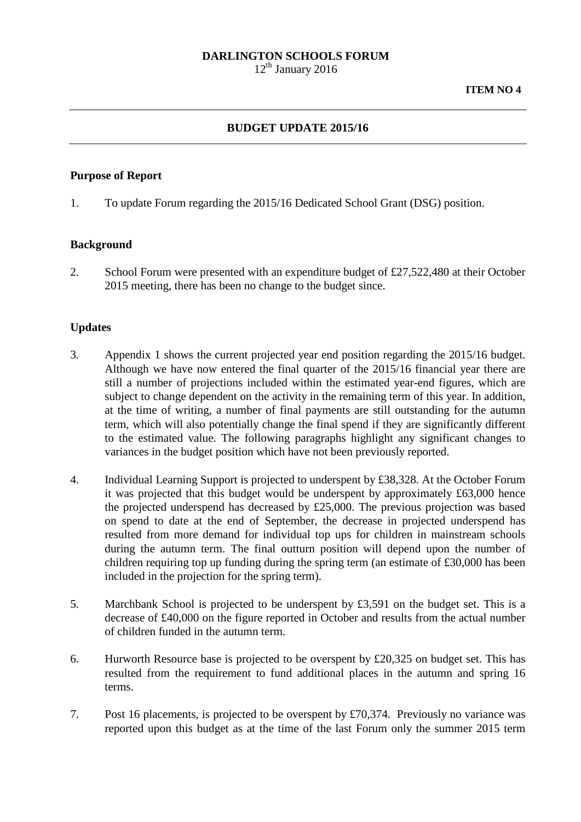## **DARLINGTON SCHOOLS FORUM**

 $12<sup>th</sup>$  January 2016

## **BUDGET UPDATE 2015/16**

### **Purpose of Report**

1. To update Forum regarding the 2015/16 Dedicated School Grant (DSG) position.

## **Background**

2. School Forum were presented with an expenditure budget of £27,522,480 at their October 2015 meeting, there has been no change to the budget since.

## **Updates**

- 3. Appendix 1 shows the current projected year end position regarding the 2015/16 budget. Although we have now entered the final quarter of the 2015/16 financial year there are still a number of projections included within the estimated year-end figures, which are subject to change dependent on the activity in the remaining term of this year. In addition, at the time of writing, a number of final payments are still outstanding for the autumn term, which will also potentially change the final spend if they are significantly different to the estimated value. The following paragraphs highlight any significant changes to variances in the budget position which have not been previously reported.
- 4. Individual Learning Support is projected to underspent by £38,328. At the October Forum it was projected that this budget would be underspent by approximately £63,000 hence the projected underspend has decreased by £25,000. The previous projection was based on spend to date at the end of September, the decrease in projected underspend has resulted from more demand for individual top ups for children in mainstream schools during the autumn term. The final outturn position will depend upon the number of children requiring top up funding during the spring term (an estimate of £30,000 has been included in the projection for the spring term).
- 5. Marchbank School is projected to be underspent by £3,591 on the budget set. This is a decrease of £40,000 on the figure reported in October and results from the actual number of children funded in the autumn term.
- 6. Hurworth Resource base is projected to be overspent by £20,325 on budget set. This has resulted from the requirement to fund additional places in the autumn and spring 16 terms.
- 7. Post 16 placements, is projected to be overspent by £70,374. Previously no variance was reported upon this budget as at the time of the last Forum only the summer 2015 term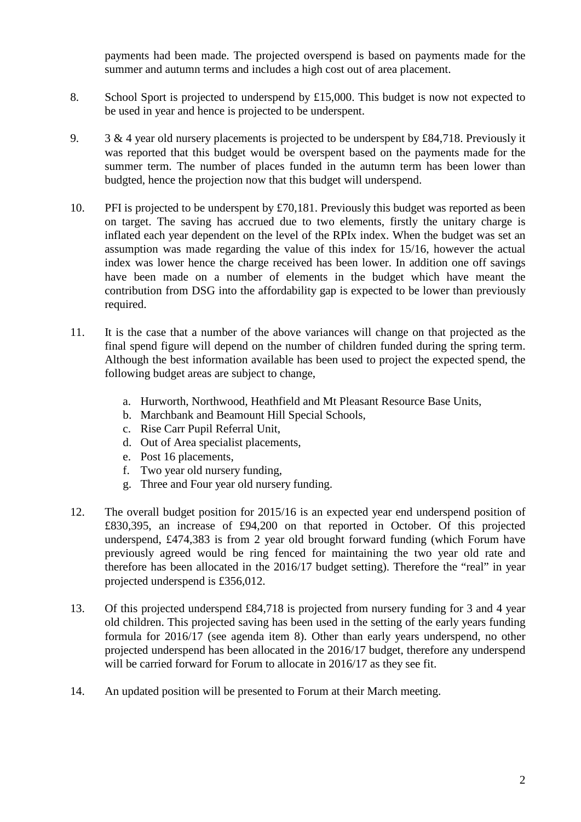payments had been made. The projected overspend is based on payments made for the summer and autumn terms and includes a high cost out of area placement.

- 8. School Sport is projected to underspend by £15,000. This budget is now not expected to be used in year and hence is projected to be underspent.
- 9. 3 & 4 year old nursery placements is projected to be underspent by £84,718. Previously it was reported that this budget would be overspent based on the payments made for the summer term. The number of places funded in the autumn term has been lower than budgted, hence the projection now that this budget will underspend.
- 10. PFI is projected to be underspent by £70,181. Previously this budget was reported as been on target. The saving has accrued due to two elements, firstly the unitary charge is inflated each year dependent on the level of the RPIx index. When the budget was set an assumption was made regarding the value of this index for 15/16, however the actual index was lower hence the charge received has been lower. In addition one off savings have been made on a number of elements in the budget which have meant the contribution from DSG into the affordability gap is expected to be lower than previously required.
- 11. It is the case that a number of the above variances will change on that projected as the final spend figure will depend on the number of children funded during the spring term. Although the best information available has been used to project the expected spend, the following budget areas are subject to change,
	- a. Hurworth, Northwood, Heathfield and Mt Pleasant Resource Base Units,
	- b. Marchbank and Beamount Hill Special Schools,
	- c. Rise Carr Pupil Referral Unit,
	- d. Out of Area specialist placements,
	- e. Post 16 placements,
	- f. Two year old nursery funding,
	- g. Three and Four year old nursery funding.
- 12. The overall budget position for 2015/16 is an expected year end underspend position of £830,395, an increase of £94,200 on that reported in October. Of this projected underspend, £474,383 is from 2 year old brought forward funding (which Forum have previously agreed would be ring fenced for maintaining the two year old rate and therefore has been allocated in the 2016/17 budget setting). Therefore the "real" in year projected underspend is £356,012.
- 13. Of this projected underspend £84,718 is projected from nursery funding for 3 and 4 year old children. This projected saving has been used in the setting of the early years funding formula for 2016/17 (see agenda item 8). Other than early years underspend, no other projected underspend has been allocated in the 2016/17 budget, therefore any underspend will be carried forward for Forum to allocate in 2016/17 as they see fit.
- 14. An updated position will be presented to Forum at their March meeting.